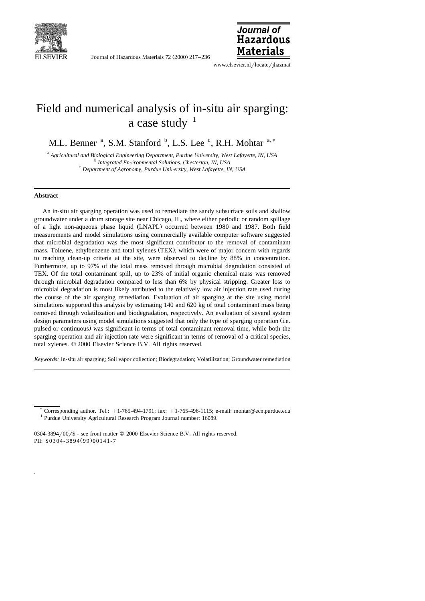

Journal of Hazardous Materials 72 (2000) 217-236



www.elsevier.nl/locate/jhazmat

# Field and numerical analysis of in-situ air sparging: a case study  $1$

M.L. Benner <sup>a</sup>, S.M. Stanford <sup>b</sup>, L.S. Lee <sup>c</sup>, R.H. Mohtar <sup>a,\*</sup>

 $^{\text{a}}$  Agricultural and Biological Engineering Department, Purdue University, West Lafayette, IN, USA<br>  $^{\text{b}}$  Integrated Environmental Solutions, Chesterton, IN, USA<br>  $^{\text{c}}$  Department of Agronomy, Purdue University

### **Abstract**

An in-situ air sparging operation was used to remediate the sandy subsurface soils and shallow groundwater under a drum storage site near Chicago, IL, where either periodic or random spillage of a light non-aqueous phase liquid (LNAPL) occurred between 1980 and 1987. Both field measurements and model simulations using commercially available computer software suggested that microbial degradation was the most significant contributor to the removal of contaminant mass. Toluene, ethylbenzene and total xylenes (TEX), which were of major concern with regards to reaching clean-up criteria at the site, were observed to decline by 88% in concentration. Furthermore, up to 97% of the total mass removed through microbial degradation consisted of TEX. Of the total contaminant spill, up to 23% of initial organic chemical mass was removed through microbial degradation compared to less than 6% by physical stripping. Greater loss to microbial degradation is most likely attributed to the relatively low air injection rate used during the course of the air sparging remediation. Evaluation of air sparging at the site using model simulations supported this analysis by estimating 140 and 620 kg of total contaminant mass being removed through volatilization and biodegradation, respectively. An evaluation of several system design parameters using model simulations suggested that only the type of sparging operation (i.e. pulsed or continuous) was significant in terms of total contaminant removal time, while both the sparging operation and air injection rate were significant in terms of removal of a critical species, total xylenes.  $© 2000$  Elsevier Science B.V. All rights reserved.

*Keywords:* In-situ air sparging; Soil vapor collection; Biodegradation; Volatilization; Groundwater remediation

<sup>&</sup>lt;sup>\*</sup> Corresponding author. Tel.:  $+1-765-494-1791$ ; fax:  $+1-765-496-1115$ ; e-mail: mohtar@ecn.purdue.edu <sup>1</sup> Purdue University Agricultural Research Program Journal number: 16089.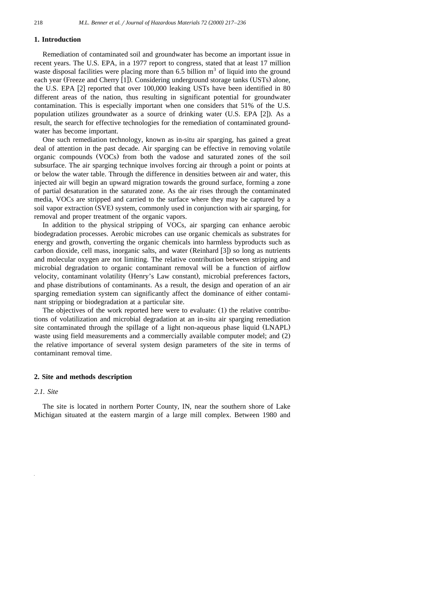### **1. Introduction**

Remediation of contaminated soil and groundwater has become an important issue in recent years. The U.S. EPA, in a 1977 report to congress, stated that at least 17 million waste disposal facilities were placing more than  $6.5$  billion  $m<sup>3</sup>$  of liquid into the ground each year (Freeze and Cherry [1]). Considering underground storage tanks (USTs) alone, the U.S. EPA [2] reported that over 100,000 leaking USTs have been identified in 80 different areas of the nation, thus resulting in significant potential for groundwater contamination. This is especially important when one considers that 51% of the U.S. population utilizes groundwater as a source of drinking water (U.S. EPA [2]). As a result, the search for effective technologies for the remediation of contaminated groundwater has become important.

One such remediation technology, known as in-situ air sparging, has gained a great deal of attention in the past decade. Air sparging can be effective in removing volatile organic compounds  $(VOCs)$  from both the vadose and saturated zones of the soil subsurface. The air sparging technique involves forcing air through a point or points at or below the water table. Through the difference in densities between air and water, this injected air will begin an upward migration towards the ground surface, forming a zone of partial desaturation in the saturated zone. As the air rises through the contaminated media, VOCs are stripped and carried to the surface where they may be captured by a soil vapor extraction (SVE) system, commonly used in conjunction with air sparging, for removal and proper treatment of the organic vapors.

In addition to the physical stripping of VOCs, air sparging can enhance aerobic biodegradation processes. Aerobic microbes can use organic chemicals as substrates for energy and growth, converting the organic chemicals into harmless byproducts such as carbon dioxide, cell mass, inorganic salts, and water (Reinhard [3]) so long as nutrients and molecular oxygen are not limiting. The relative contribution between stripping and microbial degradation to organic contaminant removal will be a function of airflow velocity, contaminant volatility (Henry's Law constant), microbial preferences factors, and phase distributions of contaminants. As a result, the design and operation of an air sparging remediation system can significantly affect the dominance of either contaminant stripping or biodegradation at a particular site.

The objectives of the work reported here were to evaluate:  $(1)$  the relative contributions of volatilization and microbial degradation at an in-situ air sparging remediation site contaminated through the spillage of a light non-aqueous phase liquid (LNAPL) waste using field measurements and a commercially available computer model; and (2) the relative importance of several system design parameters of the site in terms of contaminant removal time.

#### **2. Site and methods description**

#### *2.1. Site*

The site is located in northern Porter County, IN, near the southern shore of Lake Michigan situated at the eastern margin of a large mill complex. Between 1980 and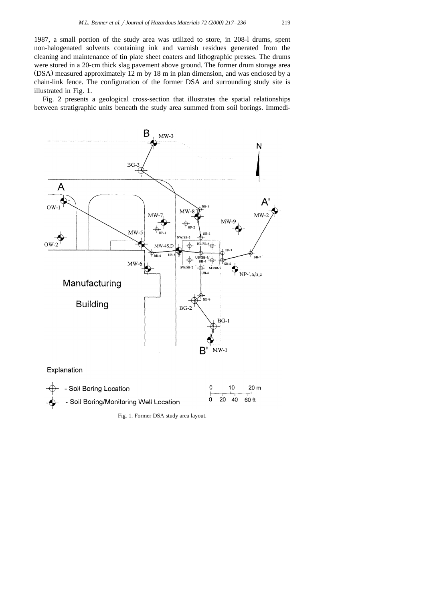1987, a small portion of the study area was utilized to store, in 208-l drums, spent non-halogenated solvents containing ink and varnish residues generated from the cleaning and maintenance of tin plate sheet coaters and lithographic presses. The drums were stored in a 20-cm thick slag pavement above ground. The former drum storage area  $(DSA)$  measured approximately 12 m by 18 m in plan dimension, and was enclosed by a chain-link fence. The configuration of the former DSA and surrounding study site is illustrated in Fig. 1.

Fig. 2 presents a geological cross-section that illustrates the spatial relationships between stratigraphic units beneath the study area summed from soil borings. Immedi-



Fig. 1. Former DSA study area layout.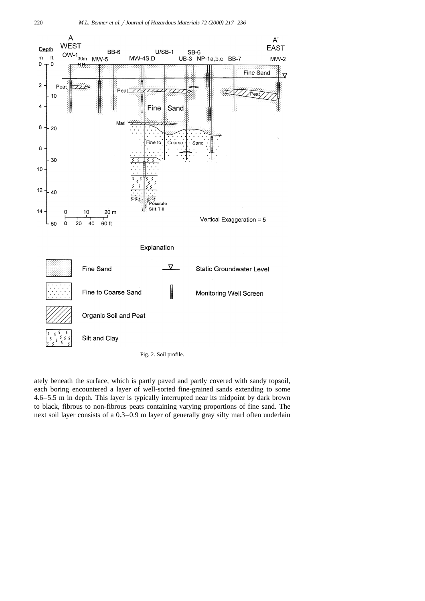

Fig. 2. Soil profile.

ately beneath the surface, which is partly paved and partly covered with sandy topsoil, each boring encountered a layer of well-sorted fine-grained sands extending to some 4.6–5.5 m in depth. This layer is typically interrupted near its midpoint by dark brown to black, fibrous to non-fibrous peats containing varying proportions of fine sand. The next soil layer consists of a 0.3–0.9 m layer of generally gray silty marl often underlain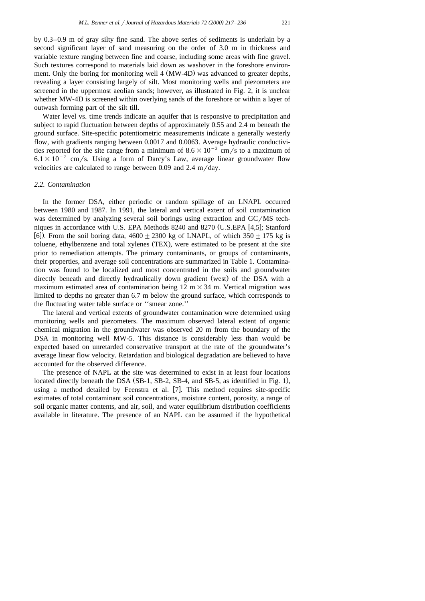by 0.3–0.9 m of gray silty fine sand. The above series of sediments is underlain by a second significant layer of sand measuring on the order of 3.0 m in thickness and variable texture ranging between fine and coarse, including some areas with fine gravel. Such textures correspond to materials laid down as washover in the foreshore environment. Only the boring for monitoring well 4 (MW-4D) was advanced to greater depths, revealing a layer consisting largely of silt. Most monitoring wells and piezometers are screened in the uppermost aeolian sands; however, as illustrated in Fig. 2, it is unclear whether MW-4D is screened within overlying sands of the foreshore or within a layer of outwash forming part of the silt till.

Water level vs. time trends indicate an aquifer that is responsive to precipitation and subject to rapid fluctuation between depths of approximately 0.55 and 2.4 m beneath the ground surface. Site-specific potentiometric measurements indicate a generally westerly flow, with gradients ranging between 0.0017 and 0.0063. Average hydraulic conductivities reported for the site range from a minimum of  $8.6\times10^{-3}$  cm/s to a maximum of  $6.1\times10^{-2}$  cm/s. Using a form of Darcy's Law, average linear groundwater flow velocities are calculated to range between  $0.09$  and  $2.4 \text{ m/day}$ .

# *2.2. Contamination*

In the former DSA, either periodic or random spillage of an LNAPL occurred between 1980 and 1987. In 1991, the lateral and vertical extent of soil contamination was determined by analyzing several soil borings using extraction and  $GC/MS$  techniques in accordance with U.S. EPA Methods 8240 and 8270 (U.S.EPA [4,5]; Stanford [6]). From the soil boring data,  $4600 \pm 2300$  kg of LNAPL, of which  $350 \pm 175$  kg is toluene, ethylbenzene and total xylenes (TEX), were estimated to be present at the site prior to remediation attempts. The primary contaminants, or groups of contaminants, their properties, and average soil concentrations are summarized in Table 1. Contamination was found to be localized and most concentrated in the soils and groundwater directly beneath and directly hydraulically down gradient (west) of the DSA with a maximum estimated area of contamination being  $12 \text{ m} \times 34 \text{ m}$ . Vertical migration was limited to depths no greater than 6.7 m below the ground surface, which corresponds to the fluctuating water table surface or ''smear zone.''

The lateral and vertical extents of groundwater contamination were determined using monitoring wells and piezometers. The maximum observed lateral extent of organic chemical migration in the groundwater was observed 20 m from the boundary of the DSA in monitoring well MW-5. This distance is considerably less than would be expected based on unretarded conservative transport at the rate of the groundwater's average linear flow velocity. Retardation and biological degradation are believed to have accounted for the observed difference.

The presence of NAPL at the site was determined to exist in at least four locations located directly beneath the DSA  $(SB-1, SB-2, SB-4, and SB-5, as identified in Fig. 1),$ using a method detailed by Feenstra et al. [7]. This method requires site-specific estimates of total contaminant soil concentrations, moisture content, porosity, a range of soil organic matter contents, and air, soil, and water equilibrium distribution coefficients available in literature. The presence of an NAPL can be assumed if the hypothetical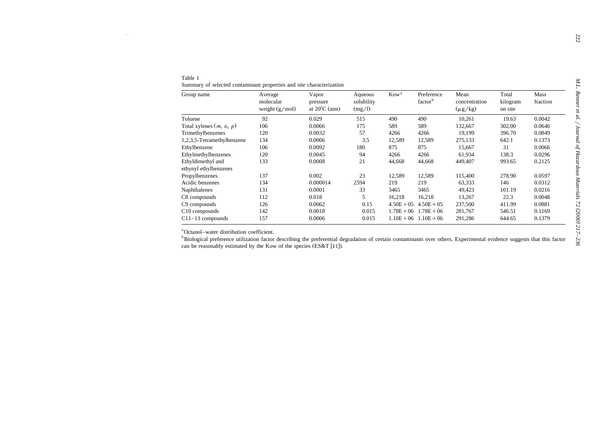| Table 1<br>Summary of selected contaminant properties and site characterization |                                          |                                              |                                 |                  |                                   |                                       |                              |                  |  |
|---------------------------------------------------------------------------------|------------------------------------------|----------------------------------------------|---------------------------------|------------------|-----------------------------------|---------------------------------------|------------------------------|------------------|--|
| Group name                                                                      | Average<br>molecular<br>weight $(g/mol)$ | Vapor<br>pressure<br>at $20^{\circ}$ C (atm) | Aqueous<br>solubility<br>(mg/l) | Kow <sup>a</sup> | Preference<br>factor <sup>b</sup> | Mean<br>concentration<br>$(\mu g/kg)$ | Total<br>kilogram<br>on site | Mass<br>fraction |  |
| Toluene                                                                         | 92                                       | 0.029                                        | 515                             | 490              | 490                               | 10,261                                | 19.63                        | 0.0042           |  |
| Total xylenes $(m, o, p)$                                                       | 106                                      | 0.0066                                       | 175                             | 589              | 589                               | 132,667                               | 302.00                       | 0.0646           |  |
| Trimethylbenzenes                                                               | 120                                      | 0.0032                                       | 57                              | 4266             | 4266                              | 19.199                                | 396.70                       | 0.0849           |  |
| 1,2,3,5-Tetramethylbenzene                                                      | 134                                      | 0.0006                                       | 3.5                             | 12,589           | 12,589                            | 275,133                               | 642.1                        | 0.1373           |  |
| Ethylbenzene                                                                    | 106                                      | 0.0092                                       | 180                             | 875              | 875                               | 15,667                                | 31                           | 0.0066           |  |
| Ethylmethylbenzenes                                                             | 120                                      | 0.0045                                       | 94                              | 4266             | 4266                              | 61,934                                | 138.3                        | 0.0296           |  |
| Ethyldimethyl and                                                               | 133                                      | 0.0008                                       | 21                              | 44,668           | 44,668                            | 449,407                               | 993.65                       | 0.2125           |  |
| ethynyl ethylbenzenes                                                           |                                          |                                              |                                 |                  |                                   |                                       |                              |                  |  |
| Propylbenzenes                                                                  | 137                                      | 0.002                                        | 23                              | 12,589           | 12,589                            | 115,400                               | 278.90                       | 0.0597           |  |
| Acidic benzenes                                                                 | 134                                      | 0.000014                                     | 2594                            | 219              | 219                               | 63,333                                | 146                          | 0.0312           |  |
| Naphthalenes                                                                    | 131                                      | 0.0001                                       | 33                              | 3465             | 3465                              | 49,423                                | 101.19                       | 0.0216           |  |
| C8 compounds                                                                    | 112                                      | 0.018                                        | 5                               | 16,218           | 16,218                            | 13,267                                | 22.3                         | 0.0048           |  |
| C9 compounds                                                                    | 126                                      | 0.0062                                       | 0.15                            | $4.50E + 05$     | $4.50E + 05$                      | 237,500                               | 411.99                       | 0.0881           |  |
| C10 compounds                                                                   | 142                                      | 0.0018                                       | 0.015                           |                  | $1.78E + 06$ $1.78E + 06$         | 281,767                               | 546.51                       | 0.1169           |  |
| $C11-13$ compounds                                                              | 157                                      | 0.0006                                       | 0.015                           |                  | $1.10E + 06$ $1.10E + 06$         | 291,286                               | 644.65                       | 0.1379           |  |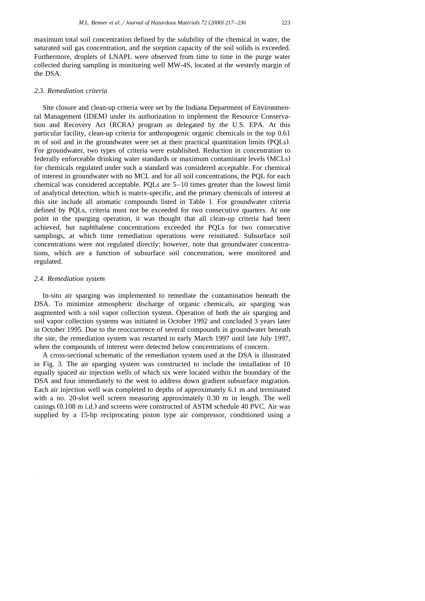maximum total soil concentration defined by the solubility of the chemical in water, the saturated soil gas concentration, and the sorption capacity of the soil solids is exceeded. Furthermore, droplets of LNAPL were observed from time to time in the purge water collected during sampling in monitoring well MW-4S, located at the westerly margin of the DSA.

# *2.3. Remediation criteria*

Site closure and clean-up criteria were set by the Indiana Department of Environmental Management (IDEM) under its authorization to implement the Resource Conservation and Recovery Act (RCRA) program as delegated by the U.S. EPA. At this particular facility, clean-up criteria for anthropogenic organic chemicals in the top 0.61 m of soil and in the groundwater were set at their practical quantitation limits (POLs). For groundwater, two types of criteria were established. Reduction in concentration to federally enforceable drinking water standards or maximum contaminant levels (MCLs) for chemicals regulated under such a standard was considered acceptable. For chemical of interest in groundwater with no MCL and for all soil concentrations, the PQL for each chemical was considered acceptable. PQLs are 5–10 times greater than the lowest limit of analytical detection, which is matrix-specific, and the primary chemicals of interest at this site include all aromatic compounds listed in Table 1. For groundwater criteria defined by PQLs, criteria must not be exceeded for two consecutive quarters. At one point in the sparging operation, it was thought that all clean-up criteria had been achieved, but naphthalene concentrations exceeded the PQLs for two consecutive samplings, at which time remediation operations were reinitiated. Subsurface soil concentrations were not regulated directly; however, note that groundwater concentrations, which are a function of subsurface soil concentration, were monitored and regulated.

# *2.4. Remediation system*

In-situ air sparging was implemented to remediate the contamination beneath the DSA. To minimize atmospheric discharge of organic chemicals, air sparging was augmented with a soil vapor collection system. Operation of both the air sparging and soil vapor collection systems was initiated in October 1992 and concluded 3 years later in October 1995. Due to the reoccurrence of several compounds in groundwater beneath the site, the remediation system was restarted in early March 1997 until late July 1997, when the compounds of interest were detected below concentrations of concern.

A cross-sectional schematic of the remediation system used at the DSA is illustrated in Fig. 3. The air sparging system was constructed to include the installation of 10 equally spaced air injection wells of which six were located within the boundary of the DSA and four immediately to the west to address down gradient subsurface migration. Each air injection well was completed to depths of approximately 6.1 m and terminated with a no. 20-slot well screen measuring approximately 0.30 m in length. The well casings  $(0.108 \text{ m } i.d.)$  and screens were constructed of ASTM schedule 40 PVC. Air was supplied by a 15-hp reciprocating piston type air compressor, conditioned using a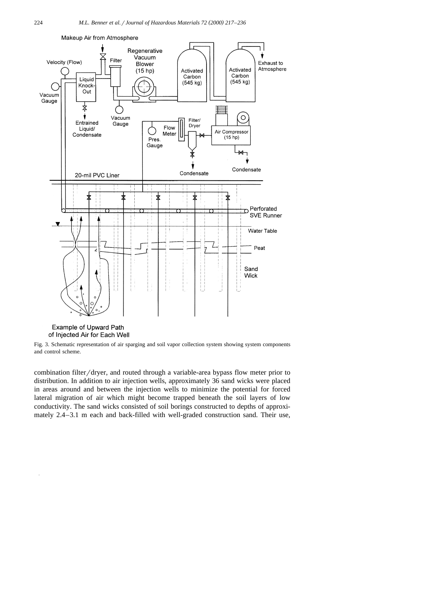

Makeup Air from Atmosphere



Fig. 3. Schematic representation of air sparging and soil vapor collection system showing system components and control scheme.

combination filter/dryer, and routed through a variable-area bypass flow meter prior to distribution. In addition to air injection wells, approximately 36 sand wicks were placed in areas around and between the injection wells to minimize the potential for forced lateral migration of air which might become trapped beneath the soil layers of low conductivity. The sand wicks consisted of soil borings constructed to depths of approximately 2.4–3.1 m each and back-filled with well-graded construction sand. Their use,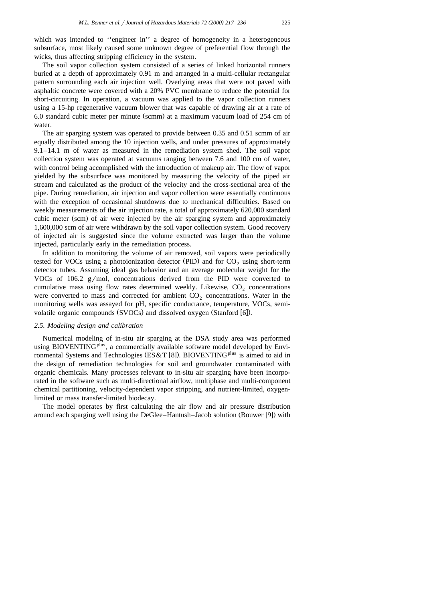which was intended to "engineer in" a degree of homogeneity in a heterogeneous subsurface, most likely caused some unknown degree of preferential flow through the wicks, thus affecting stripping efficiency in the system.

The soil vapor collection system consisted of a series of linked horizontal runners buried at a depth of approximately 0.91 m and arranged in a multi-cellular rectangular pattern surrounding each air injection well. Overlying areas that were not paved with asphaltic concrete were covered with a 20% PVC membrane to reduce the potential for short-circuiting. In operation, a vacuum was applied to the vapor collection runners using a 15-hp regenerative vacuum blower that was capable of drawing air at a rate of 6.0 standard cubic meter per minute (scmm) at a maximum vacuum load of  $254$  cm of water.

The air sparging system was operated to provide between 0.35 and 0.51 scmm of air equally distributed among the 10 injection wells, and under pressures of approximately 9.1–14.1 m of water as measured in the remediation system shed. The soil vapor collection system was operated at vacuums ranging between 7.6 and 100 cm of water, with control being accomplished with the introduction of makeup air. The flow of vapor yielded by the subsurface was monitored by measuring the velocity of the piped air stream and calculated as the product of the velocity and the cross-sectional area of the pipe. During remediation, air injection and vapor collection were essentially continuous with the exception of occasional shutdowns due to mechanical difficulties. Based on weekly measurements of the air injection rate, a total of approximately 620,000 standard cubic meter (scm) of air were injected by the air sparging system and approximately 1,600,000 scm of air were withdrawn by the soil vapor collection system. Good recovery of injected air is suggested since the volume extracted was larger than the volume injected, particularly early in the remediation process.

In addition to monitoring the volume of air removed, soil vapors were periodically tested for VOCs using a photoionization detector (PID) and for  $CO<sub>2</sub>$  using short-term detector tubes. Assuming ideal gas behavior and an average molecular weight for the VOCs of 106.2  $g/mol$ , concentrations derived from the PID were converted to cumulative mass using flow rates determined weekly. Likewise,  $CO<sub>2</sub>$  concentrations were converted to mass and corrected for ambient  $CO<sub>2</sub>$  concentrations. Water in the monitoring wells was assayed for pH, specific conductance, temperature, VOCs, semivolatile organic compounds (SVOCs) and dissolved oxygen (Stanford [6]).

# *2.5. Modeling design and calibration*

Numerical modeling of in-situ air sparging at the DSA study area was performed using BIOVENTING<sup>plus</sup>, a commercially available software model developed by Environmental Systems and Technologies ( $ES&T [8]$ ). BIOVENTING<sup>plus</sup> is aimed to aid in the design of remediation technologies for soil and groundwater contaminated with organic chemicals. Many processes relevant to in-situ air sparging have been incorporated in the software such as multi-directional airflow, multiphase and multi-component chemical partitioning, velocity-dependent vapor stripping, and nutrient-limited, oxygenlimited or mass transfer-limited biodecay.

The model operates by first calculating the air flow and air pressure distribution around each sparging well using the DeGlee–Hantush–Jacob solution (Bouwer [9]) with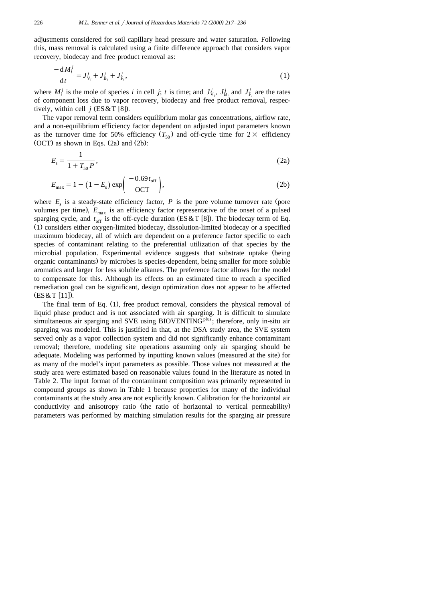adjustments considered for soil capillary head pressure and water saturation. Following this, mass removal is calculated using a finite difference approach that considers vapor recovery, biodecay and free product removal as:

$$
\frac{-dM_i^j}{dt} = J_{V_i}^j + J_{B_i}^j + J_{F_i}^j,
$$
\n(1)

where  $M_i^j$  is the mole of species *i* in cell *j*; *t* is time; and  $J_{\rm V_i}^j$ ,  $J_{\rm B_i}^j$  and  $J_{\rm F_i}^j$  are the rates of component loss due to vapor recovery, biodecay and free product removal, respectively, within cell  $j$  (ES & T [8]).

The vapor removal term considers equilibrium molar gas concentrations, airflow rate, and a non-equilibrium efficiency factor dependent on adjusted input parameters known as the turnover time for 50% efficiency  $(T_{50})$  and off-cycle time for  $2 \times$  efficiency  $(OCT)$  as shown in Eqs.  $(2a)$  and  $(2b)$ :

$$
E_{\rm s} = \frac{1}{1 + T_{50}P},\tag{2a}
$$

$$
E_{\text{max}} = 1 - (1 - E_{\text{s}}) \exp\left(\frac{-0.69 t_{\text{off}}}{\text{OCT}}\right),\tag{2b}
$$

where  $E<sub>s</sub>$  is a steady-state efficiency factor,  $P$  is the pore volume turnover rate (pore volumes per time),  $E_{\text{max}}$  is an efficiency factor representative of the onset of a pulsed sparging cycle, and  $t_{\rm off}$  is the off-cycle duration (ES&T [8]). The biodecay term of Eq. (1) considers either oxygen-limited biodecay, dissolution-limited biodecay or a specified maximum biodecay, all of which are dependent on a preference factor specific to each species of contaminant relating to the preferential utilization of that species by the microbial population. Experimental evidence suggests that substrate uptake (being organic contaminants) by microbes is species-dependent, being smaller for more soluble aromatics and larger for less soluble alkanes. The preference factor allows for the model to compensate for this. Although its effects on an estimated time to reach a specified remediation goal can be significant, design optimization does not appear to be affected  $(ES & T [11])$ .

The final term of Eq.  $(1)$ , free product removal, considers the physical removal of liquid phase product and is not associated with air sparging. It is difficult to simulate simultaneous air sparging and SVE using BIOVENTING<sup>plus</sup>; therefore, only in-situ air sparging was modeled. This is justified in that, at the DSA study area, the SVE system served only as a vapor collection system and did not significantly enhance contaminant removal; therefore, modeling site operations assuming only air sparging should be adequate. Modeling was performed by inputting known values (measured at the site) for as many of the model's input parameters as possible. Those values not measured at the study area were estimated based on reasonable values found in the literature as noted in Table 2. The input format of the contaminant composition was primarily represented in compound groups as shown in Table 1 because properties for many of the individual contaminants at the study area are not explicitly known. Calibration for the horizontal air conductivity and anisotropy ratio (the ratio of horizontal to vertical permeability) parameters was performed by matching simulation results for the sparging air pressure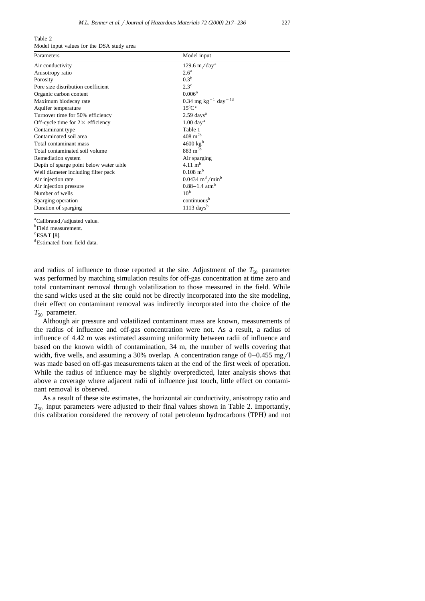Table 2 Model input values for the DSA study area

| Parameters                               | Model input                                 |  |  |  |
|------------------------------------------|---------------------------------------------|--|--|--|
| Air conductivity                         | $129.6 \text{ m/day}^{\text{a}}$            |  |  |  |
| Anisotropy ratio                         | 2.6 <sup>a</sup>                            |  |  |  |
| Porosity                                 | 0.3 <sup>b</sup>                            |  |  |  |
| Pore size distribution coefficient       | $2.3^{\circ}$                               |  |  |  |
| Organic carbon content                   | $0.006^{\rm a}$                             |  |  |  |
| Maximum biodecay rate                    | 0.34 mg kg <sup>-1</sup> day <sup>-1d</sup> |  |  |  |
| Aquifer temperature                      | $15^{\circ}$ C <sup>c</sup>                 |  |  |  |
| Turnover time for 50% efficiency         | $2.59$ days <sup>a</sup>                    |  |  |  |
| Off-cycle time for $2 \times$ efficiency | $1.00$ day <sup>a</sup>                     |  |  |  |
| Contaminant type                         | Table 1                                     |  |  |  |
| Contaminated soil area                   | $408~{\rm m}^{2b}$                          |  |  |  |
| Total contaminant mass                   | $4600 \text{ kg}^{\text{b}}$                |  |  |  |
| Total contaminated soil volume           | $883 \; \mathrm{m}^{3b}$                    |  |  |  |
| Remediation system                       | Air sparging                                |  |  |  |
| Depth of sparge point below water table  | $4.11 \text{ m}^b$                          |  |  |  |
| Well diameter including filter pack      | $0.108 \text{ m}^{\text{b}}$                |  |  |  |
| Air injection rate                       | $0.0434 \text{ m}^3/\text{min}^b$           |  |  |  |
| Air injection pressure                   | $0.88 - 1.4$ atm <sup>b</sup>               |  |  |  |
| Number of wells                          | 10 <sup>b</sup>                             |  |  |  |
| Sparging operation                       | continuous <sup>b</sup>                     |  |  |  |
| Duration of sparging                     | $1113 \text{ days}^b$                       |  |  |  |

<sup>a</sup>Calibrated/adjusted value.

<sup>b</sup>Field measurement.

 $\rm{c}^{\rm c}$ ES&T [8].

Estimated from field data.

and radius of influence to those reported at the site. Adjustment of the  $T_{50}$  parameter was performed by matching simulation results for off-gas concentration at time zero and total contaminant removal through volatilization to those measured in the field. While the sand wicks used at the site could not be directly incorporated into the site modeling, their effect on contaminant removal was indirectly incorporated into the choice of the  $T_{50}$  parameter.

Although air pressure and volatilized contaminant mass are known, measurements of the radius of influence and off-gas concentration were not. As a result, a radius of influence of 4.42 m was estimated assuming uniformity between radii of influence and based on the known width of contamination, 34 m, the number of wells covering that width, five wells, and assuming a 30% overlap. A concentration range of  $0-0.455$  mg/l was made based on off-gas measurements taken at the end of the first week of operation. While the radius of influence may be slightly overpredicted, later analysis shows that above a coverage where adjacent radii of influence just touch, little effect on contaminant removal is observed.

As a result of these site estimates, the horizontal air conductivity, anisotropy ratio and  $T_{50}$  input parameters were adjusted to their final values shown in Table 2. Importantly, this calibration considered the recovery of total petroleum hydrocarbons (TPH) and not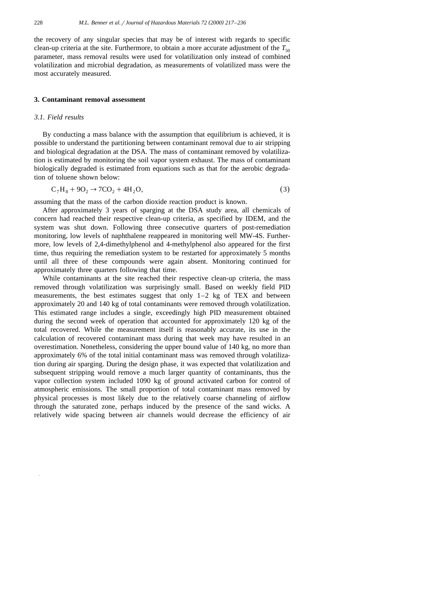the recovery of any singular species that may be of interest with regards to specific clean-up criteria at the site. Furthermore, to obtain a more accurate adjustment of the  $T_{50}$ parameter, mass removal results were used for volatilization only instead of combined volatilization and microbial degradation, as measurements of volatilized mass were the most accurately measured.

#### **3. Contaminant removal assessment**

## *3.1. Field results*

By conducting a mass balance with the assumption that equilibrium is achieved, it is possible to understand the partitioning between contaminant removal due to air stripping and biological degradation at the DSA. The mass of contaminant removed by volatilization is estimated by monitoring the soil vapor system exhaust. The mass of contaminant biologically degraded is estimated from equations such as that for the aerobic degradation of toluene shown below:

$$
C_7H_8 + 9O_2 \to 7CO_2 + 4H_2O,
$$
\n(3)

assuming that the mass of the carbon dioxide reaction product is known.

After approximately 3 years of sparging at the DSA study area, all chemicals of concern had reached their respective clean-up criteria, as specified by IDEM, and the system was shut down. Following three consecutive quarters of post-remediation monitoring, low levels of naphthalene reappeared in monitoring well MW-4S. Furthermore, low levels of 2,4-dimethylphenol and 4-methylphenol also appeared for the first time, thus requiring the remediation system to be restarted for approximately 5 months until all three of these compounds were again absent. Monitoring continued for approximately three quarters following that time.

While contaminants at the site reached their respective clean-up criteria, the mass removed through volatilization was surprisingly small. Based on weekly field PID measurements, the best estimates suggest that only  $1-2$  kg of TEX and between approximately 20 and 140 kg of total contaminants were removed through volatilization. This estimated range includes a single, exceedingly high PID measurement obtained during the second week of operation that accounted for approximately 120 kg of the total recovered. While the measurement itself is reasonably accurate, its use in the calculation of recovered contaminant mass during that week may have resulted in an overestimation. Nonetheless, considering the upper bound value of 140 kg, no more than approximately 6% of the total initial contaminant mass was removed through volatilization during air sparging. During the design phase, it was expected that volatilization and subsequent stripping would remove a much larger quantity of contaminants, thus the vapor collection system included 1090 kg of ground activated carbon for control of atmospheric emissions. The small proportion of total contaminant mass removed by physical processes is most likely due to the relatively coarse channeling of airflow through the saturated zone, perhaps induced by the presence of the sand wicks. A relatively wide spacing between air channels would decrease the efficiency of air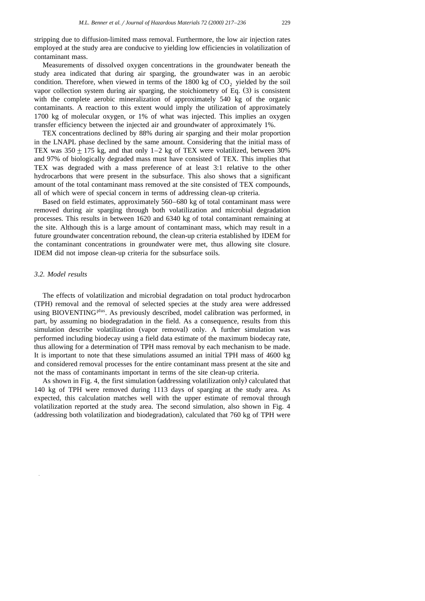stripping due to diffusion-limited mass removal. Furthermore, the low air injection rates employed at the study area are conducive to yielding low efficiencies in volatilization of contaminant mass.

Measurements of dissolved oxygen concentrations in the groundwater beneath the study area indicated that during air sparging, the groundwater was in an aerobic condition. Therefore, when viewed in terms of the  $1800 \text{ kg}$  of  $CO<sub>2</sub>$  yielded by the soil vapor collection system during air sparging, the stoichiometry of Eq.  $(3)$  is consistent with the complete aerobic mineralization of approximately 540 kg of the organic contaminants. A reaction to this extent would imply the utilization of approximately 1700 kg of molecular oxygen, or 1% of what was injected. This implies an oxygen transfer efficiency between the injected air and groundwater of approximately 1%.

TEX concentrations declined by 88% during air sparging and their molar proportion in the LNAPL phase declined by the same amount. Considering that the initial mass of TEX was  $350 \pm 175$  kg, and that only 1–2 kg of TEX were volatilized, between 30% and 97% of biologically degraded mass must have consisted of TEX. This implies that TEX was degraded with a mass preference of at least 3:1 relative to the other hydrocarbons that were present in the subsurface. This also shows that a significant amount of the total contaminant mass removed at the site consisted of TEX compounds, all of which were of special concern in terms of addressing clean-up criteria.

Based on field estimates, approximately 560–680 kg of total contaminant mass were removed during air sparging through both volatilization and microbial degradation processes. This results in between 1620 and 6340 kg of total contaminant remaining at the site. Although this is a large amount of contaminant mass, which may result in a future groundwater concentration rebound, the clean-up criteria established by IDEM for the contaminant concentrations in groundwater were met, thus allowing site closure. IDEM did not impose clean-up criteria for the subsurface soils.

# *3.2. Model results*

The effects of volatilization and microbial degradation on total product hydrocarbon (TPH) removal and the removal of selected species at the study area were addressed using BIOVENTING<sup>plus</sup>. As previously described, model calibration was performed, in part, by assuming no biodegradation in the field. As a consequence, results from this simulation describe volatilization (vapor removal) only. A further simulation was performed including biodecay using a field data estimate of the maximum biodecay rate, thus allowing for a determination of TPH mass removal by each mechanism to be made. It is important to note that these simulations assumed an initial TPH mass of 4600 kg and considered removal processes for the entire contaminant mass present at the site and not the mass of contaminants important in terms of the site clean-up criteria.

As shown in Fig. 4, the first simulation (addressing volatilization only) calculated that 140 kg of TPH were removed during 1113 days of sparging at the study area. As expected, this calculation matches well with the upper estimate of removal through volatilization reported at the study area. The second simulation, also shown in Fig. 4 (addressing both volatilization and biodegradation), calculated that 760 kg of TPH were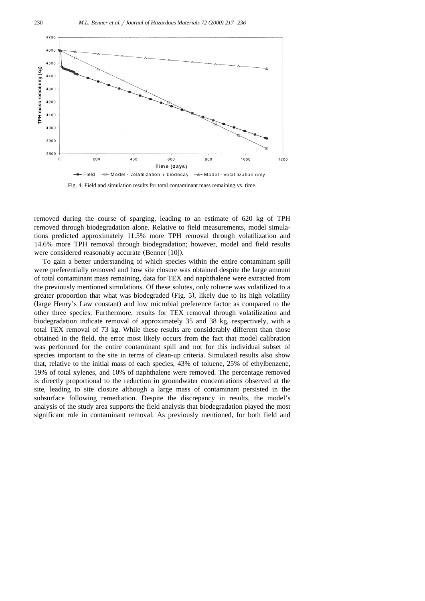

Fig. 4. Field and simulation results for total contaminant mass remaining vs. time.

removed during the course of sparging, leading to an estimate of 620 kg of TPH removed through biodegradation alone. Relative to field measurements, model simulations predicted approximately 11.5% more TPH removal through volatilization and 14.6% more TPH removal through biodegradation; however, model and field results were considered reasonably accurate (Benner [10]).

To gain a better understanding of which species within the entire contaminant spill were preferentially removed and how site closure was obtained despite the large amount of total contaminant mass remaining, data for TEX and naphthalene were extracted from the previously mentioned simulations. Of these solutes, only toluene was volatilized to a greater proportion that what was biodegraded (Fig. 5), likely due to its high volatility (large Henry's Law constant) and low microbial preference factor as compared to the other three species. Furthermore, results for TEX removal through volatilization and biodegradation indicate removal of approximately 35 and 38 kg, respectively, with a total TEX removal of 73 kg. While these results are considerably different than those obtained in the field, the error most likely occurs from the fact that model calibration was performed for the entire contaminant spill and not for this individual subset of species important to the site in terms of clean-up criteria. Simulated results also show that, relative to the initial mass of each species, 43% of toluene, 25% of ethylbenzene, 19% of total xylenes, and 10% of naphthalene were removed. The percentage removed is directly proportional to the reduction in groundwater concentrations observed at the site, leading to site closure although a large mass of contaminant persisted in the subsurface following remediation. Despite the discrepancy in results, the model's analysis of the study area supports the field analysis that biodegradation played the most significant role in contaminant removal. As previously mentioned, for both field and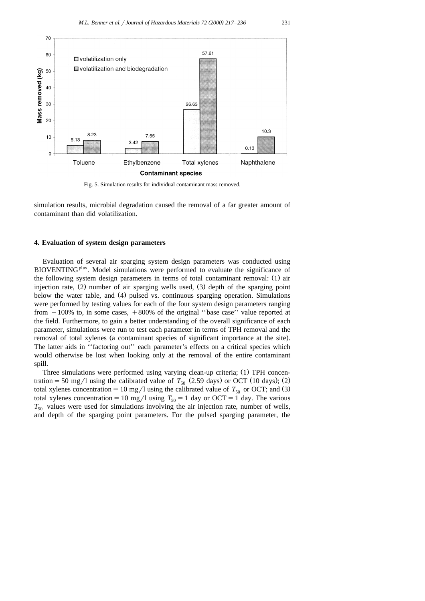

Fig. 5. Simulation results for individual contaminant mass removed.

simulation results, microbial degradation caused the removal of a far greater amount of contaminant than did volatilization.

#### **4. Evaluation of system design parameters**

Evaluation of several air sparging system design parameters was conducted using BIOVENTING<sup>plus</sup>. Model simulations were performed to evaluate the significance of the following system design parameters in terms of total contaminant removal: (1) air injection rate,  $(2)$  number of air sparging wells used,  $(3)$  depth of the sparging point below the water table, and (4) pulsed vs. continuous sparging operation. Simulations were performed by testing values for each of the four system design parameters ranging from  $-100\%$  to, in some cases,  $+800\%$  of the original "base case" value reported at the field. Furthermore, to gain a better understanding of the overall significance of each parameter, simulations were run to test each parameter in terms of TPH removal and the removal of total xylenes (a contaminant species of significant importance at the site). The latter aids in ''factoring out'' each parameter's effects on a critical species which would otherwise be lost when looking only at the removal of the entire contaminant spill.

Three simulations were performed using varying clean-up criteria; (1) TPH concentration = 50 mg/l using the calibrated value of  $T_{50}$  (2.59 days) or OCT (10 days); (2) total xylenes concentration = 10 mg/l using the calibrated value of  $T_{50}$  or OCT; and (3) total xylenes concentration = 10 mg/l using  $T_{50} = 1$  day or OCT = 1 day. The various  $T_{50}$  values were used for simulations involving the air injection rate, number of wells, and depth of the sparging point parameters. For the pulsed sparging parameter, the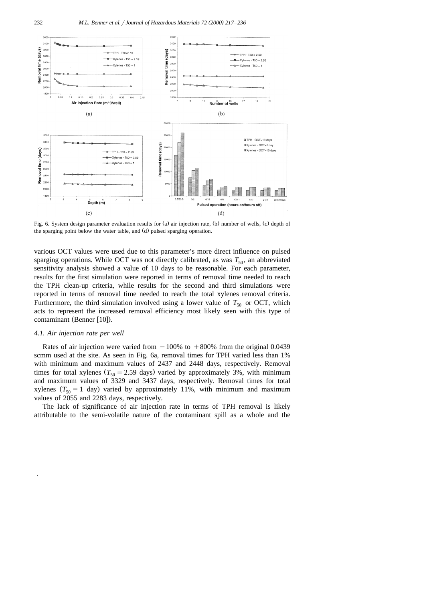

Fig. 6. System design parameter evaluation results for (a) air injection rate, (b) number of wells, (c) depth of the sparging point below the water table, and (d) pulsed sparging operation.

various OCT values were used due to this parameter's more direct influence on pulsed sparging operations. While OCT was not directly calibrated, as was  $T_{50}$ , an abbreviated sensitivity analysis showed a value of 10 days to be reasonable. For each parameter, results for the first simulation were reported in terms of removal time needed to reach the TPH clean-up criteria, while results for the second and third simulations were reported in terms of removal time needed to reach the total xylenes removal criteria. Furthermore, the third simulation involved using a lower value of  $T_{50}$  or OCT, which acts to represent the increased removal efficiency most likely seen with this type of contaminant (Benner [10]).

## *4.1. Air injection rate per well*

Rates of air injection were varied from  $-100\%$  to  $+800\%$  from the original 0.0439 scmm used at the site. As seen in Fig. 6a, removal times for TPH varied less than 1% with minimum and maximum values of 2437 and 2448 days, respectively. Removal times for total xylenes  $(T_{50} = 2.59$  days) varied by approximately 3%, with minimum and maximum values of 3329 and 3437 days, respectively. Removal times for total xylenes  $(T_{50} = 1$  day) varied by approximately 11%, with minimum and maximum values of 2055 and 2283 days, respectively.

The lack of significance of air injection rate in terms of TPH removal is likely attributable to the semi-volatile nature of the contaminant spill as a whole and the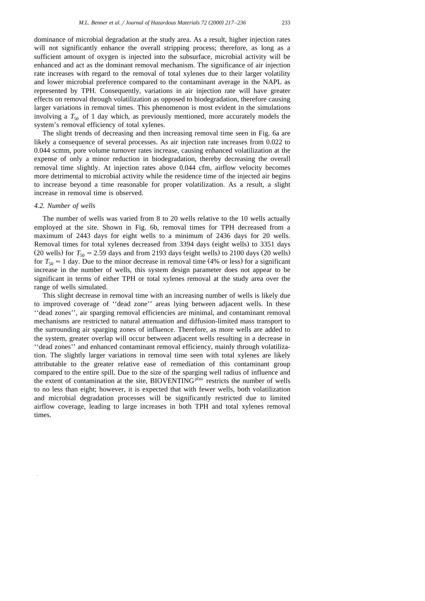dominance of microbial degradation at the study area. As a result, higher injection rates will not significantly enhance the overall stripping process; therefore, as long as a sufficient amount of oxygen is injected into the subsurface, microbial activity will be enhanced and act as the dominant removal mechanism. The significance of air injection rate increases with regard to the removal of total xylenes due to their larger volatility and lower microbial preference compared to the contaminant average in the NAPL as represented by TPH. Consequently, variations in air injection rate will have greater effects on removal through volatilization as opposed to biodegradation, therefore causing larger variations in removal times. This phenomenon is most evident in the simulations involving a  $T_{50}$  of 1 day which, as previously mentioned, more accurately models the system's removal efficiency of total xylenes.

The slight trends of decreasing and then increasing removal time seen in Fig. 6a are likely a consequence of several processes. As air injection rate increases from 0.022 to 0.044 scmm, pore volume turnover rates increase, causing enhanced volatilization at the expense of only a minor reduction in biodegradation, thereby decreasing the overall removal time slightly. At injection rates above 0.044 cfm, airflow velocity becomes more detrimental to microbial activity while the residence time of the injected air begins to increase beyond a time reasonable for proper volatilization. As a result, a slight increase in removal time is observed.

## *4.2. Number of wells*

The number of wells was varied from 8 to 20 wells relative to the 10 wells actually employed at the site. Shown in Fig. 6b, removal times for TPH decreased from a maximum of 2443 days for eight wells to a minimum of 2436 days for 20 wells. Removal times for total xylenes decreased from 3394 days (eight wells) to 3351 days (20 wells) for  $T_{50} = 2.59$  days and from 2193 days (eight wells) to 2100 days (20 wells) for  $T_{50} = 1$  day. Due to the minor decrease in removal time (4% or less) for a significant increase in the number of wells, this system design parameter does not appear to be significant in terms of either TPH or total xylenes removal at the study area over the range of wells simulated.

This slight decrease in removal time with an increasing number of wells is likely due to improved coverage of ''dead zone'' areas lying between adjacent wells. In these ''dead zones'', air sparging removal efficiencies are minimal, and contaminant removal mechanisms are restricted to natural attenuation and diffusion-limited mass transport to the surrounding air sparging zones of influence. Therefore, as more wells are added to the system, greater overlap will occur between adjacent wells resulting in a decrease in ''dead zones'' and enhanced contaminant removal efficiency, mainly through volatilization. The slightly larger variations in removal time seen with total xylenes are likely attributable to the greater relative ease of remediation of this contaminant group compared to the entire spill. Due to the size of the sparging well radius of influence and the extent of contamination at the site, BIOVENTING<sup>plus</sup> restricts the number of wells to no less than eight; however, it is expected that with fewer wells, both volatilization and microbial degradation processes will be significantly restricted due to limited airflow coverage, leading to large increases in both TPH and total xylenes removal times.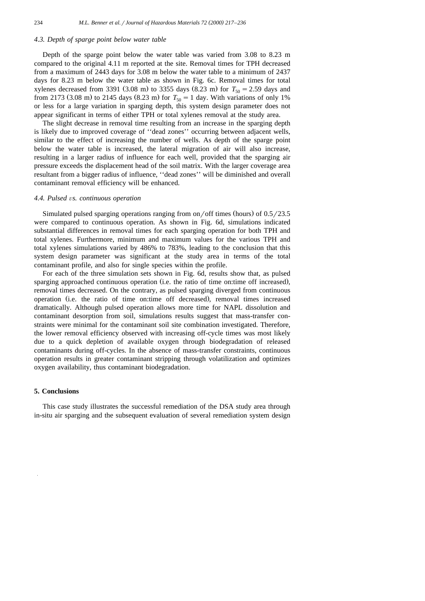#### *4.3. Depth of sparge point below water table*

Depth of the sparge point below the water table was varied from 3.08 to 8.23 m compared to the original 4.11 m reported at the site. Removal times for TPH decreased from a maximum of 2443 days for 3.08 m below the water table to a minimum of 2437 days for 8.23 m below the water table as shown in Fig. 6c. Removal times for total xylenes decreased from 3391 (3.08 m) to 3355 days  $(8.23 \text{ m})$  for  $T_{50} = 2.59$  days and from 2173 (3.08 m) to 2145 days (8.23 m) for  $T_{50} = 1$  day. With variations of only 1% or less for a large variation in sparging depth, this system design parameter does not appear significant in terms of either TPH or total xylenes removal at the study area.

The slight decrease in removal time resulting from an increase in the sparging depth is likely due to improved coverage of ''dead zones'' occurring between adjacent wells, similar to the effect of increasing the number of wells. As depth of the sparge point below the water table is increased, the lateral migration of air will also increase, resulting in a larger radius of influence for each well, provided that the sparging air pressure exceeds the displacement head of the soil matrix. With the larger coverage area resultant from a bigger radius of influence, ''dead zones'' will be diminished and overall contaminant removal efficiency will be enhanced.

#### *4.4. Pulsed* Õ*s. continuous operation*

Simulated pulsed sparging operations ranging from on/off times (hours) of  $0.5 / 23.5$ were compared to continuous operation. As shown in Fig. 6d, simulations indicated substantial differences in removal times for each sparging operation for both TPH and total xylenes. Furthermore, minimum and maximum values for the various TPH and total xylenes simulations varied by 486% to 783%, leading to the conclusion that this system design parameter was significant at the study area in terms of the total contaminant profile, and also for single species within the profile.

For each of the three simulation sets shown in Fig. 6d, results show that, as pulsed sparging approached continuous operation (i.e. the ratio of time on:time off increased), removal times decreased. On the contrary, as pulsed sparging diverged from continuous operation (i.e. the ratio of time on:time off decreased), removal times increased dramatically. Although pulsed operation allows more time for NAPL dissolution and contaminant desorption from soil, simulations results suggest that mass-transfer constraints were minimal for the contaminant soil site combination investigated. Therefore, the lower removal efficiency observed with increasing off-cycle times was most likely due to a quick depletion of available oxygen through biodegradation of released contaminants during off-cycles. In the absence of mass-transfer constraints, continuous operation results in greater contaminant stripping through volatilization and optimizes oxygen availability, thus contaminant biodegradation.

# **5. Conclusions**

This case study illustrates the successful remediation of the DSA study area through in-situ air sparging and the subsequent evaluation of several remediation system design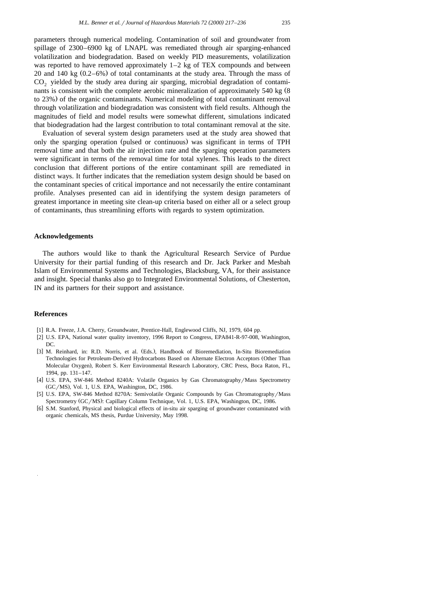parameters through numerical modeling. Contamination of soil and groundwater from spillage of 2300–6900 kg of LNAPL was remediated through air sparging-enhanced volatilization and biodegradation. Based on weekly PID measurements, volatilization was reported to have removed approximately 1–2 kg of TEX compounds and between 20 and 140 kg  $(0.2-6%)$  of total contaminants at the study area. Through the mass of  $CO<sub>2</sub>$  yielded by the study area during air sparging, microbial degradation of contaminants is consistent with the complete aerobic mineralization of approximately 540 kg (8 to 23%) of the organic contaminants. Numerical modeling of total contaminant removal through volatilization and biodegradation was consistent with field results. Although the magnitudes of field and model results were somewhat different, simulations indicated that biodegradation had the largest contribution to total contaminant removal at the site.

Evaluation of several system design parameters used at the study area showed that only the sparging operation (pulsed or continuous) was significant in terms of TPH removal time and that both the air injection rate and the sparging operation parameters were significant in terms of the removal time for total xylenes. This leads to the direct conclusion that different portions of the entire contaminant spill are remediated in distinct ways. It further indicates that the remediation system design should be based on the contaminant species of critical importance and not necessarily the entire contaminant profile. Analyses presented can aid in identifying the system design parameters of greatest importance in meeting site clean-up criteria based on either all or a select group of contaminants, thus streamlining efforts with regards to system optimization.

## **Acknowledgements**

The authors would like to thank the Agricultural Research Service of Purdue University for their partial funding of this research and Dr. Jack Parker and Mesbah Islam of Environmental Systems and Technologies, Blacksburg, VA, for their assistance and insight. Special thanks also go to Integrated Environmental Solutions, of Chesterton, IN and its partners for their support and assistance.

## **References**

- [1] R.A. Freeze, J.A. Cherry, Groundwater, Prentice-Hall, Englewood Cliffs, NJ, 1979, 604 pp.
- [2] U.S. EPA, National water quality inventory, 1996 Report to Congress, EPA841-R-97-008, Washington, DC.
- [3] M. Reinhard, in: R.D. Norris, et al. (Eds.), Handbook of Bioremediation, In-Situ Bioremediation Technologies for Petroleum-Derived Hydrocarbons Based on Alternate Electron Acceptors (Other Than Molecular Oxygen), Robert S. Kerr Environmental Research Laboratory, CRC Press, Boca Raton, FL, 1994, pp. 131–147.
- [4] U.S. EPA, SW-846 Method 8240A: Volatile Organics by Gas Chromatography/Mass Spectrometry (GC/MS), Vol. 1, U.S. EPA, Washington, DC, 1986.
- [5] U.S. EPA, SW-846 Method 8270A: Semivolatile Organic Compounds by Gas Chromatography/Mass Spectrometry (GC/MS): Capillary Column Technique, Vol. 1, U.S. EPA, Washington, DC, 1986.
- [6] S.M. Stanford, Physical and biological effects of in-situ air sparging of groundwater contaminated with organic chemicals, MS thesis, Purdue University, May 1998.